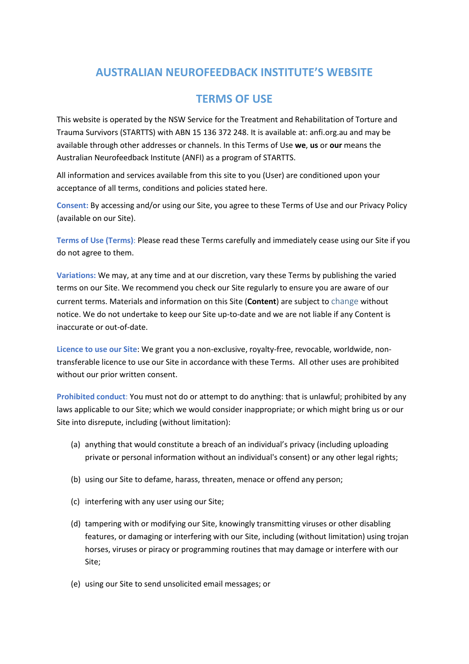## **AUSTRALIAN NEUROFEEDBACK INSTITUTE'S WEBSITE**

## **TERMS OF USE**

This website is operated by the NSW Service for the Treatment and Rehabilitation of Torture and Trauma Survivors (STARTTS) with ABN 15 136 372 248. It is available at: anfi.org.au and may be available through other addresses or channels. In this Terms of Use **we**, **us** or **our** means the Australian Neurofeedback Institute (ANFI) as a program of STARTTS.

All information and services available from this site to you (User) are conditioned upon your acceptance of all terms, conditions and policies stated here.

**Consent:** By accessing and/or using our Site, you agree to these Terms of Use and our Privacy Policy (available on our Site).

**Terms of Use (Terms)**: Please read these Terms carefully and immediately cease using our Site if you do not agree to them.

**Variations:** We may, at any time and at our discretion, vary these Terms by publishing the varied terms on our Site. We recommend you check our Site regularly to ensure you are aware of our current terms. Materials and information on this Site (**Content**) are subject to change without notice. We do not undertake to keep our Site up-to-date and we are not liable if any Content is inaccurate or out-of-date.

**Licence to use our Site**: We grant you a non-exclusive, royalty-free, revocable, worldwide, nontransferable licence to use our Site in accordance with these Terms. All other uses are prohibited without our prior written consent.

**Prohibited conduct**: You must not do or attempt to do anything: that is unlawful; prohibited by any laws applicable to our Site; which we would consider inappropriate; or which might bring us or our Site into disrepute, including (without limitation):

- (a) anything that would constitute a breach of an individual's privacy (including uploading private or personal information without an individual's consent) or any other legal rights;
- (b) using our Site to defame, harass, threaten, menace or offend any person;
- (c) interfering with any user using our Site;
- (d) tampering with or modifying our Site, knowingly transmitting viruses or other disabling features, or damaging or interfering with our Site, including (without limitation) using trojan horses, viruses or piracy or programming routines that may damage or interfere with our Site;
- (e) using our Site to send unsolicited email messages; or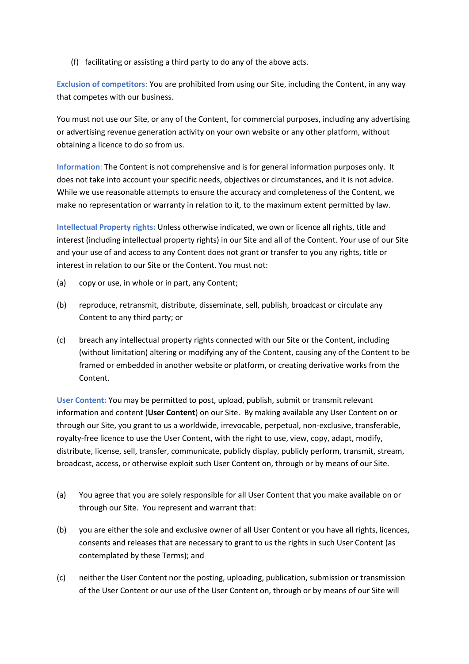(f) facilitating or assisting a third party to do any of the above acts.

**Exclusion of competitors**: You are prohibited from using our Site, including the Content, in any way that competes with our business.

You must not use our Site, or any of the Content, for commercial purposes, including any advertising or advertising revenue generation activity on your own website or any other platform, without obtaining a licence to do so from us.

**Information**: The Content is not comprehensive and is for general information purposes only. It does not take into account your specific needs, objectives or circumstances, and it is not advice. While we use reasonable attempts to ensure the accuracy and completeness of the Content, we make no representation or warranty in relation to it, to the maximum extent permitted by law.

**Intellectual Property rights:** Unless otherwise indicated, we own or licence all rights, title and interest (including intellectual property rights) in our Site and all of the Content. Your use of our Site and your use of and access to any Content does not grant or transfer to you any rights, title or interest in relation to our Site or the Content. You must not:

- (a) copy or use, in whole or in part, any Content;
- (b) reproduce, retransmit, distribute, disseminate, sell, publish, broadcast or circulate any Content to any third party; or
- (c) breach any intellectual property rights connected with our Site or the Content, including (without limitation) altering or modifying any of the Content, causing any of the Content to be framed or embedded in another website or platform, or creating derivative works from the Content.

**User Content:** You may be permitted to post, upload, publish, submit or transmit relevant information and content (**User Content**) on our Site. By making available any User Content on or through our Site, you grant to us a worldwide, irrevocable, perpetual, non-exclusive, transferable, royalty-free licence to use the User Content, with the right to use, view, copy, adapt, modify, distribute, license, sell, transfer, communicate, publicly display, publicly perform, transmit, stream, broadcast, access, or otherwise exploit such User Content on, through or by means of our Site.

- (a) You agree that you are solely responsible for all User Content that you make available on or through our Site. You represent and warrant that:
- (b) you are either the sole and exclusive owner of all User Content or you have all rights, licences, consents and releases that are necessary to grant to us the rights in such User Content (as contemplated by these Terms); and
- (c) neither the User Content nor the posting, uploading, publication, submission or transmission of the User Content or our use of the User Content on, through or by means of our Site will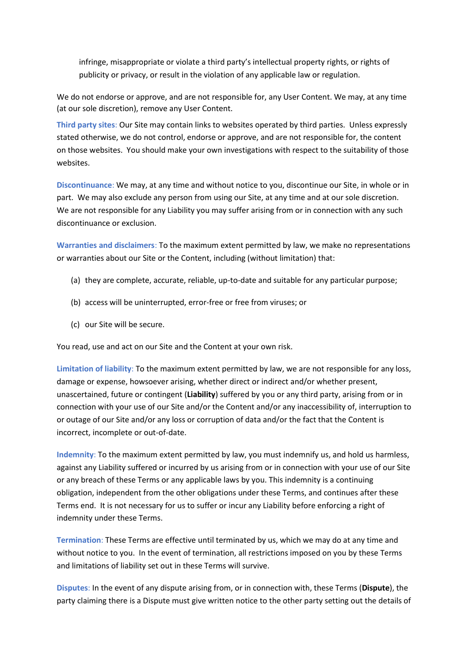infringe, misappropriate or violate a third party's intellectual property rights, or rights of publicity or privacy, or result in the violation of any applicable law or regulation.

We do not endorse or approve, and are not responsible for, any User Content. We may, at any time (at our sole discretion), remove any User Content.

**Third party sites**: Our Site may contain links to websites operated by third parties. Unless expressly stated otherwise, we do not control, endorse or approve, and are not responsible for, the content on those websites. You should make your own investigations with respect to the suitability of those websites.

**Discontinuance**: We may, at any time and without notice to you, discontinue our Site, in whole or in part. We may also exclude any person from using our Site, at any time and at our sole discretion. We are not responsible for any Liability you may suffer arising from or in connection with any such discontinuance or exclusion.

**Warranties and disclaimers**: To the maximum extent permitted by law, we make no representations or warranties about our Site or the Content, including (without limitation) that:

- (a) they are complete, accurate, reliable, up-to-date and suitable for any particular purpose;
- (b) access will be uninterrupted, error-free or free from viruses; or
- (c) our Site will be secure.

You read, use and act on our Site and the Content at your own risk.

**Limitation of liability**: To the maximum extent permitted by law, we are not responsible for any loss, damage or expense, howsoever arising, whether direct or indirect and/or whether present, unascertained, future or contingent (**Liability**) suffered by you or any third party, arising from or in connection with your use of our Site and/or the Content and/or any inaccessibility of, interruption to or outage of our Site and/or any loss or corruption of data and/or the fact that the Content is incorrect, incomplete or out-of-date.

**Indemnity**: To the maximum extent permitted by law, you must indemnify us, and hold us harmless, against any Liability suffered or incurred by us arising from or in connection with your use of our Site or any breach of these Terms or any applicable laws by you. This indemnity is a continuing obligation, independent from the other obligations under these Terms, and continues after these Terms end. It is not necessary for us to suffer or incur any Liability before enforcing a right of indemnity under these Terms.

**Termination**: These Terms are effective until terminated by us, which we may do at any time and without notice to you. In the event of termination, all restrictions imposed on you by these Terms and limitations of liability set out in these Terms will survive.

**Disputes**: In the event of any dispute arising from, or in connection with, these Terms (**Dispute**), the party claiming there is a Dispute must give written notice to the other party setting out the details of